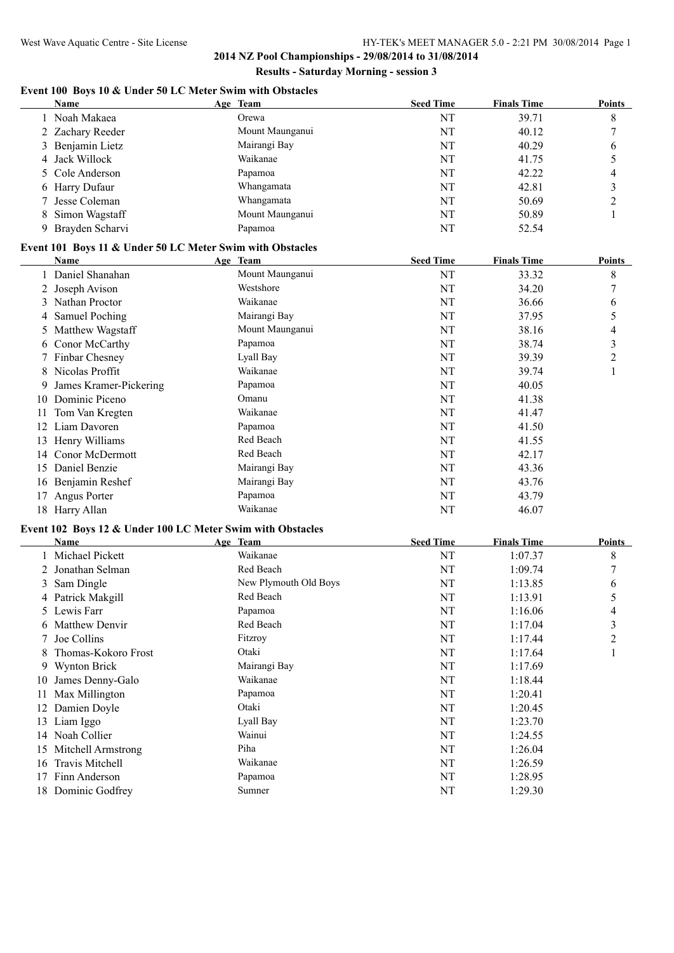# **Event 100 Boys 10 & Under 50 LC Meter Swim with Obstacles**

| <b>Name</b>       | Age Team        | <b>Seed Time</b> | <b>Finals Time</b> | <b>Points</b> |
|-------------------|-----------------|------------------|--------------------|---------------|
| 1 Noah Makaea     | Orewa           | NT               | 39.71              | 8             |
| 2 Zachary Reeder  | Mount Maunganui | NT               | 40.12              |               |
| 3 Benjamin Lietz  | Mairangi Bay    | NT               | 40.29              | 6             |
| 4 Jack Willock    | Waikanae        | NT               | 41.75              |               |
| 5 Cole Anderson   | Papamoa         | NT               | 42.22              |               |
| 6 Harry Dufaur    | Whangamata      | NT               | 42.81              |               |
| 7 Jesse Coleman   | Whangamata      | NT               | 50.69              |               |
| 8 Simon Wagstaff  | Mount Maunganui | NT               | 50.89              |               |
| 9 Brayden Scharvi | Papamoa         | NT               | 52.54              |               |

#### **Event 101 Boys 11 & Under 50 LC Meter Swim with Obstacles**

|     | Name                   | Age Team        | <b>Seed Time</b> | <b>Finals Time</b> | Points        |
|-----|------------------------|-----------------|------------------|--------------------|---------------|
|     | Daniel Shanahan        | Mount Maunganui | NT               | 33.32              | 8             |
|     | 2 Joseph Avison        | Westshore       | NT               | 34.20              | $\mathcal{I}$ |
| 3   | Nathan Proctor         | Waikanae        | NT               | 36.66              | 6             |
|     | 4 Samuel Poching       | Mairangi Bay    | NT               | 37.95              | 5             |
|     | 5 Matthew Wagstaff     | Mount Maunganui | NT               | 38.16              | 4             |
|     | 6 Conor McCarthy       | Papamoa         | NT               | 38.74              | 3             |
|     | 7 Finbar Chesney       | Lyall Bay       | NT               | 39.39              | 2             |
| 8   | Nicolas Proffit        | Waikanae        | NT               | 39.74              |               |
| 9.  | James Kramer-Pickering | Papamoa         | NT               | 40.05              |               |
| 10  | Dominic Piceno         | Omanu           | NT               | 41.38              |               |
| 11  | Tom Van Kregten        | Waikanae        | NT               | 41.47              |               |
| 12  | Liam Davoren           | Papamoa         | NT               | 41.50              |               |
| 13  | Henry Williams         | Red Beach       | NT               | 41.55              |               |
| 14  | <b>Conor McDermott</b> | Red Beach       | NT               | 42.17              |               |
| 15  | Daniel Benzie          | Mairangi Bay    | NT               | 43.36              |               |
| 16  | Benjamin Reshef        | Mairangi Bay    | NT               | 43.76              |               |
| 17  | Angus Porter           | Papamoa         | NT               | 43.79              |               |
| 18. | Harry Allan            | Waikanae        | NT               | 46.07              |               |

### **Event 102 Boys 12 & Under 100 LC Meter Swim with Obstacles**

|    | Name                   | Age Team              | <b>Seed Time</b> | <b>Finals Time</b> | <b>Points</b> |
|----|------------------------|-----------------------|------------------|--------------------|---------------|
|    | Michael Pickett        | Waikanae              | NT               | 1:07.37            | 8             |
|    | 2 Jonathan Selman      | Red Beach             | NT               | 1:09.74            | $\mathcal{I}$ |
|    | 3 Sam Dingle           | New Plymouth Old Boys | NT               | 1:13.85            | 6             |
|    | 4 Patrick Makgill      | Red Beach             | NT               | 1:13.91            | 5             |
|    | 5 Lewis Farr           | Papamoa               | NT               | 1:16.06            | 4             |
|    | 6 Matthew Denvir       | Red Beach             | NT               | 1:17.04            | 3             |
|    | 7 Joe Collins          | Fitzroy               | NT               | 1:17.44            | 2             |
| 8  | Thomas-Kokoro Frost    | Otaki                 | NT               | 1:17.64            |               |
|    | 9 Wynton Brick         | Mairangi Bay          | NT               | 1:17.69            |               |
| 10 | James Denny-Galo       | Waikanae              | NT               | 1:18.44            |               |
| 11 | Max Millington         | Papamoa               | NT               | 1:20.41            |               |
| 12 | Damien Doyle           | Otaki                 | NT               | 1:20.45            |               |
| 13 | Liam Iggo              | Lyall Bay             | NT               | 1:23.70            |               |
| 14 | Noah Collier           | Wainui                | NT               | 1:24.55            |               |
| 15 | Mitchell Armstrong     | Piha                  | NT               | 1:26.04            |               |
| 16 | <b>Travis Mitchell</b> | Waikanae              | NT               | 1:26.59            |               |
| 17 | Finn Anderson          | Papamoa               | NT               | 1:28.95            |               |
|    | 18 Dominic Godfrey     | Sumner                | NT               | 1:29.30            |               |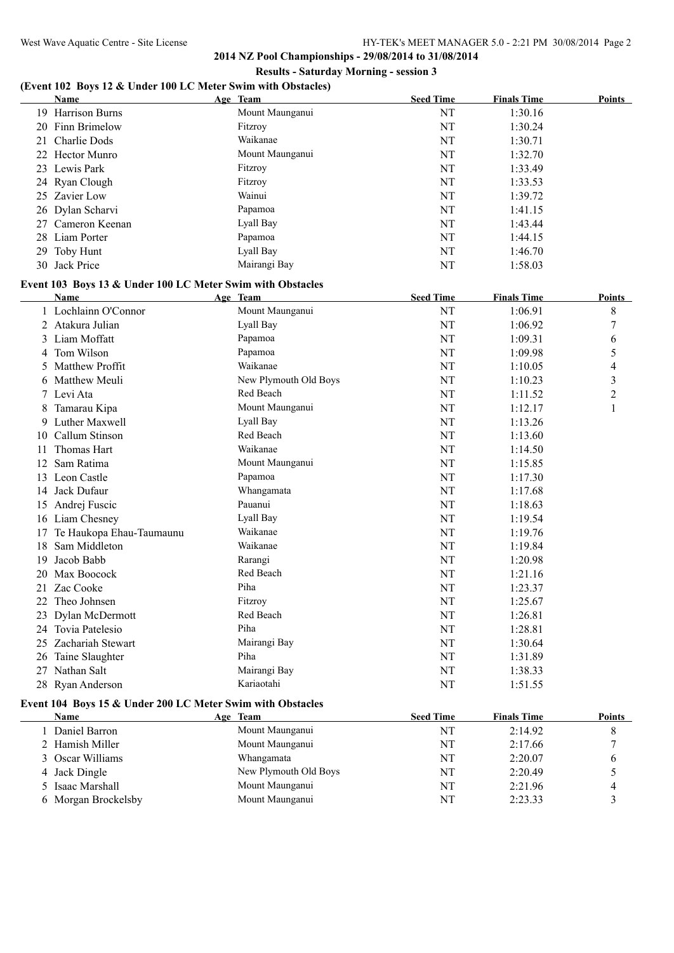# **(Event 102 Boys 12 & Under 100 LC Meter Swim with Obstacles)**

|     | <b>Name</b>                                                | Age Team                       | <b>Seed Time</b> | <b>Finals Time</b> | Points |
|-----|------------------------------------------------------------|--------------------------------|------------------|--------------------|--------|
| 19. | <b>Harrison Burns</b>                                      | Mount Maunganui                | NT               | 1:30.16            |        |
| 20  | Finn Brimelow                                              | Fitzroy                        | NT               | 1:30.24            |        |
|     | 21 Charlie Dods                                            | Waikanae                       | NT               | 1:30.71            |        |
| 22  | <b>Hector Munro</b>                                        | Mount Maunganui                | NT               | 1:32.70            |        |
|     | 23 Lewis Park                                              | Fitzroy                        | NT               | 1:33.49            |        |
|     | 24 Ryan Clough                                             | Fitzroy                        | NT               | 1:33.53            |        |
|     | 25 Zavier Low                                              | Wainui                         | NT               | 1:39.72            |        |
|     | 26 Dylan Scharvi                                           | Papamoa                        | NT               | 1:41.15            |        |
| 27  | Cameron Keenan                                             | Lyall Bay                      | NT               | 1:43.44            |        |
|     | 28 Liam Porter                                             | Papamoa                        | NT               | 1:44.15            |        |
| 29  | Toby Hunt                                                  | Lyall Bay                      | NT               | 1:46.70            |        |
|     | 30 Jack Price                                              | Mairangi Bay                   | NT               | 1:58.03            |        |
|     | Event 103 Boys 13 & Under 100 LC Meter Swim with Obstacles |                                |                  |                    |        |
|     | <b>Name</b>                                                | Age Team                       | <b>Seed Time</b> | <b>Finals Time</b> | Points |
|     | 1 Lochlainn O'Connor                                       | Mount Maunganui                | NT               | 1:06.91            | 8      |
|     | $2 + \lambda$ delmes Indian                                | $I_{\text{vol}}1_{\text{Dov}}$ | <b>NIT</b>       | 1.06.02            | 7      |

|    | Lochlainn O'Connor       | Mount Maunganui       | ΝΊ | 1:06.91 | 8              |
|----|--------------------------|-----------------------|----|---------|----------------|
|    | Atakura Julian           | Lyall Bay             | NT | 1:06.92 | 7              |
| 3  | Liam Moffatt             | Papamoa               | NT | 1:09.31 | 6              |
| 4  | Tom Wilson               | Papamoa               | NT | 1:09.98 | 5              |
|    | <b>Matthew Proffit</b>   | Waikanae              | NT | 1:10.05 | 4              |
| 6  | Matthew Meuli            | New Plymouth Old Boys | NT | 1:10.23 | 3              |
|    | Levi Ata                 | Red Beach             | NT | 1:11.52 | $\overline{c}$ |
| 8  | Tamarau Kipa             | Mount Maunganui       | NT | 1:12.17 |                |
| 9  | Luther Maxwell           | Lyall Bay             | NT | 1:13.26 |                |
| 10 | Callum Stinson           | Red Beach             | NT | 1:13.60 |                |
| 11 | Thomas Hart              | Waikanae              | NT | 1:14.50 |                |
| 12 | Sam Ratima               | Mount Maunganui       | NT | 1:15.85 |                |
| 13 | Leon Castle              | Papamoa               | NT | 1:17.30 |                |
| 14 | Jack Dufaur              | Whangamata            | NT | 1:17.68 |                |
| 15 | Andrej Fuscic            | Pauanui               | NT | 1:18.63 |                |
| 16 | Liam Chesney             | Lyall Bay             | NT | 1:19.54 |                |
| 17 | Te Haukopa Ehau-Taumaunu | Waikanae              | NT | 1:19.76 |                |
| 18 | Sam Middleton            | Waikanae              | NT | 1:19.84 |                |
| 19 | Jacob Babb               | Rarangi               | NT | 1:20.98 |                |
| 20 | Max Boocock              | Red Beach             | NT | 1:21.16 |                |
| 21 | Zac Cooke                | Piha                  | NT | 1:23.37 |                |
| 22 | Theo Johnsen             | Fitzroy               | NT | 1:25.67 |                |
| 23 | Dylan McDermott          | Red Beach             | NT | 1:26.81 |                |
| 24 | Tovia Patelesio          | Piha                  | NT | 1:28.81 |                |
| 25 | Zachariah Stewart        | Mairangi Bay          | NT | 1:30.64 |                |
| 26 | Taine Slaughter          | Piha                  | NT | 1:31.89 |                |
| 27 | Nathan Salt              | Mairangi Bay          | NT | 1:38.33 |                |
|    | 28 Ryan Anderson         | Kariaotahi            | NT | 1:51.55 |                |

# **Event 104 Boys 15 & Under 200 LC Meter Swim with Obstacles**

| Name                 | Age Team              | <b>Seed Time</b> | <b>Finals Time</b> | <b>Points</b> |
|----------------------|-----------------------|------------------|--------------------|---------------|
| <b>Daniel Barron</b> | Mount Maunganui       | NT               | 2:14.92            |               |
| 2 Hamish Miller      | Mount Maunganui       | NΤ               | 2:17.66            |               |
| 3 Oscar Williams     | Whangamata            | NT               | 2:20.07            |               |
| 4 Jack Dingle        | New Plymouth Old Boys | NT               | 2:20.49            |               |
| 5 Isaac Marshall     | Mount Maunganui       | NT               | 2:21.96            |               |
| 6 Morgan Brockelsby  | Mount Maunganui       | NT               | 2:23.33            |               |
|                      |                       |                  |                    |               |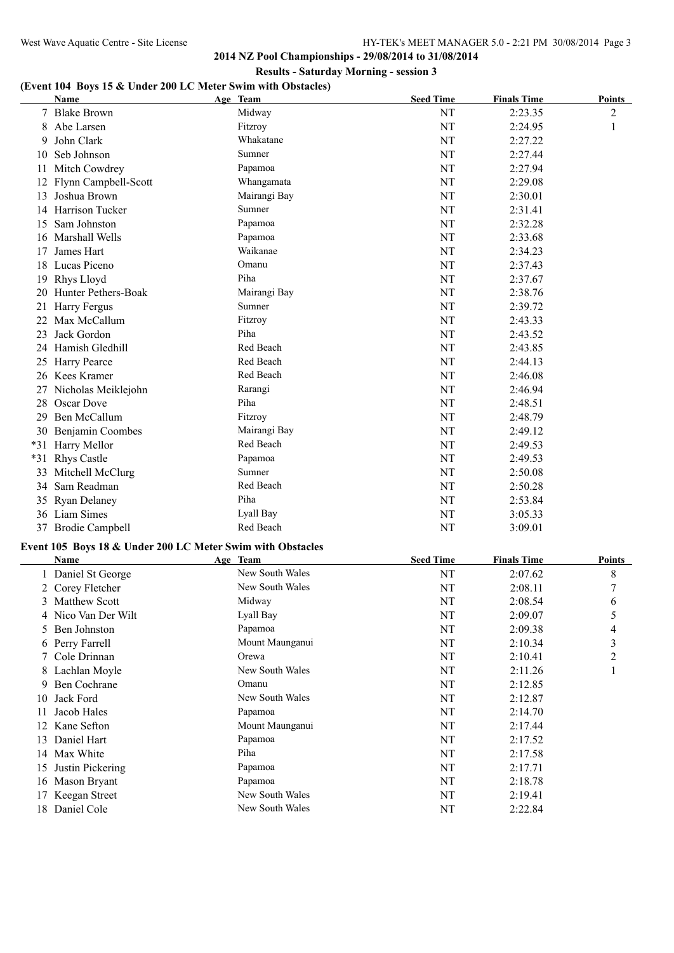# **(Event 104 Boys 15 & Under 200 LC Meter Swim with Obstacles)**

|       | Name                 | Age Team                                                   | <b>Seed Time</b> | <b>Finals Time</b> | <b>Points</b> |
|-------|----------------------|------------------------------------------------------------|------------------|--------------------|---------------|
|       | <b>Blake Brown</b>   | Midway                                                     | NT               | 2:23.35            | 2             |
| 8     | Abe Larsen           | Fitzroy                                                    | NT               | 2:24.95            | 1             |
| 9     | John Clark           | Whakatane                                                  | NT               | 2:27.22            |               |
| 10    | Seb Johnson          | Sumner                                                     | NT               | 2:27.44            |               |
| 11    | Mitch Cowdrey        | Papamoa                                                    | NT               | 2:27.94            |               |
| 12    | Flynn Campbell-Scott | Whangamata                                                 | NT               | 2:29.08            |               |
| 13    | Joshua Brown         | Mairangi Bay                                               | NT               | 2:30.01            |               |
|       | 14 Harrison Tucker   | Sumner                                                     | NT               | 2:31.41            |               |
| 15    | Sam Johnston         | Papamoa                                                    | NT               | 2:32.28            |               |
| 16    | Marshall Wells       | Papamoa                                                    | NT               | 2:33.68            |               |
| 17    | James Hart           | Waikanae                                                   | NT               | 2:34.23            |               |
| 18    | Lucas Piceno         | Omanu                                                      | NT               | 2:37.43            |               |
| 19    | Rhys Lloyd           | Piha                                                       | NT               | 2:37.67            |               |
| 20    | Hunter Pethers-Boak  | Mairangi Bay                                               | NT               | 2:38.76            |               |
| 21    | Harry Fergus         | Sumner                                                     | NT               | 2:39.72            |               |
| 22    | Max McCallum         | Fitzroy                                                    | NT               | 2:43.33            |               |
| 23    | Jack Gordon          | Piha                                                       | NT               | 2:43.52            |               |
| 24    | Hamish Gledhill      | Red Beach                                                  | NT               | 2:43.85            |               |
|       | 25 Harry Pearce      | Red Beach                                                  | NT               | 2:44.13            |               |
| 26    | <b>Kees Kramer</b>   | Red Beach                                                  | NT               | 2:46.08            |               |
| 27    | Nicholas Meiklejohn  | Rarangi                                                    | NT               | 2:46.94            |               |
| 28    | Oscar Dove           | Piha                                                       | NT               | 2:48.51            |               |
| 29    | Ben McCallum         | Fitzroy                                                    | NT               | 2:48.79            |               |
|       | 30 Benjamin Coombes  | Mairangi Bay                                               | NT               | 2:49.12            |               |
| $*31$ | Harry Mellor         | Red Beach                                                  | NT               | 2:49.53            |               |
| $*31$ | <b>Rhys Castle</b>   | Papamoa                                                    | NT               | 2:49.53            |               |
| 33    | Mitchell McClurg     | Sumner                                                     | NT               | 2:50.08            |               |
| 34    | Sam Readman          | Red Beach                                                  | NT               | 2:50.28            |               |
|       | 35 Ryan Delaney      | Piha                                                       | NT               | 2:53.84            |               |
| 36    | Liam Simes           | Lyall Bay                                                  | NT               | 3:05.33            |               |
|       | 37 Brodie Campbell   | Red Beach                                                  | NT               | 3:09.01            |               |
|       |                      | Event 105 Boys 18 & Under 200 LC Meter Swim with Obstacles |                  |                    |               |
|       | <b>Name</b>          | Age Team                                                   | <b>Seed Time</b> | <b>Finals Time</b> | <b>Points</b> |

|     | Name                 | Age Team        | <b>Seed Time</b> | <b>Finals Time</b> | Points |
|-----|----------------------|-----------------|------------------|--------------------|--------|
|     | 1 Daniel St George   | New South Wales | NT               | 2:07.62            | 8      |
|     | 2 Corey Fletcher     | New South Wales | NT               | 2:08.11            | 7      |
|     | <b>Matthew Scott</b> | Midway          | NT               | 2:08.54            | 6      |
|     | 4 Nico Van Der Wilt  | Lyall Bay       | NT               | 2:09.07            | 5      |
|     | 5 Ben Johnston       | Papamoa         | NT               | 2:09.38            | 4      |
|     | 6 Perry Farrell      | Mount Maunganui | NT               | 2:10.34            | 3      |
|     | 7 Cole Drinnan       | Orewa           | NT               | 2:10.41            | 2      |
|     | 8 Lachlan Moyle      | New South Wales | NT               | 2:11.26            |        |
|     | Ben Cochrane         | Omanu           | NT               | 2:12.85            |        |
| 10  | Jack Ford            | New South Wales | NT               | 2:12.87            |        |
|     | Jacob Hales          | Papamoa         | NT               | 2:14.70            |        |
|     | Kane Sefton          | Mount Maunganui | NT               | 2:17.44            |        |
| 13  | Daniel Hart          | Papamoa         | NT               | 2:17.52            |        |
| 14  | Max White            | Piha            | NT               | 2:17.58            |        |
| 15  | Justin Pickering     | Papamoa         | NT               | 2:17.71            |        |
| 16  | Mason Bryant         | Papamoa         | NT               | 2:18.78            |        |
|     | Keegan Street        | New South Wales | NT               | 2:19.41            |        |
| 18. | Daniel Cole          | New South Wales | NT               | 2:22.84            |        |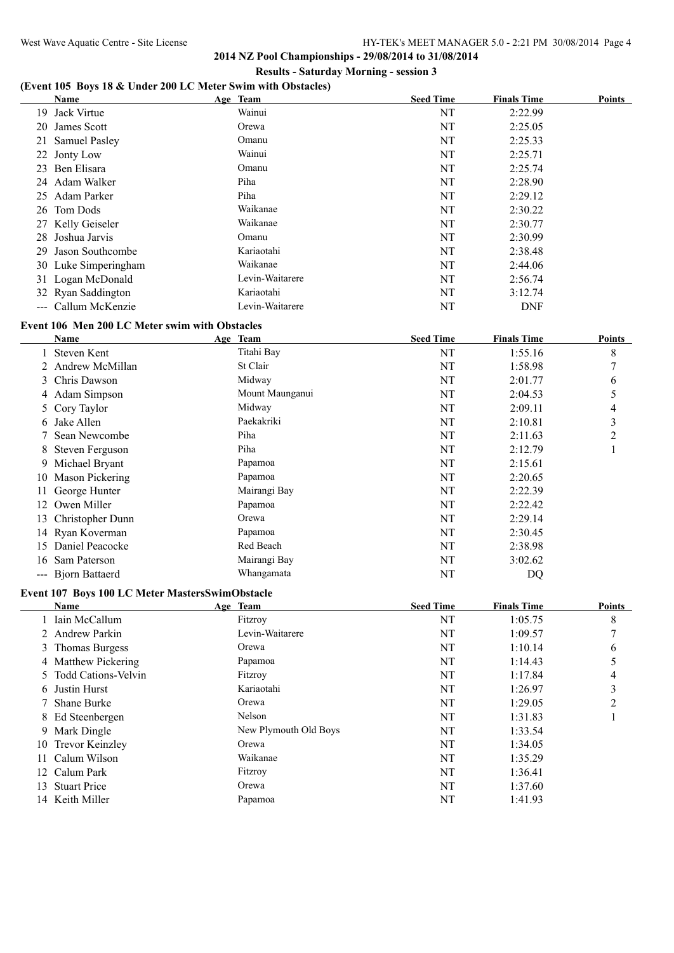# **(Event 105 Boys 18 & Under 200 LC Meter Swim with Obstacles)**

|    | Name                                           | Age Team        | <b>Seed Time</b> | <b>Finals Time</b> | Points |
|----|------------------------------------------------|-----------------|------------------|--------------------|--------|
| 19 | Jack Virtue                                    | Wainui          | NT               | 2:22.99            |        |
| 20 | James Scott                                    | Orewa           | NT               | 2:25.05            |        |
| 21 | <b>Samuel Pasley</b>                           | Omanu           | NT               | 2:25.33            |        |
|    | 22 Jonty Low                                   | Wainui          | NT               | 2:25.71            |        |
| 23 | Ben Elisara                                    | Omanu           | NT               | 2:25.74            |        |
| 24 | Adam Walker                                    | Piha            | NT               | 2:28.90            |        |
| 25 | Adam Parker                                    | Piha            | NT               | 2:29.12            |        |
|    | 26 Tom Dods                                    | Waikanae        | NT               | 2:30.22            |        |
|    | 27 Kelly Geiseler                              | Waikanae        | NT               | 2:30.77            |        |
| 28 | Joshua Jarvis                                  | Omanu           | NT               | 2:30.99            |        |
| 29 | Jason Southcombe                               | Kariaotahi      | NT               | 2:38.48            |        |
|    | 30 Luke Simperingham                           | Waikanae        | NT               | 2:44.06            |        |
|    | 31 Logan McDonald                              | Levin-Waitarere | NT               | 2:56.74            |        |
|    | 32 Ryan Saddington                             | Kariaotahi      | NT               | 3:12.74            |        |
|    | --- Callum McKenzie                            | Levin-Waitarere | NT               | <b>DNF</b>         |        |
|    | Event 106 Men 200 LC Meter swim with Obstacles |                 |                  |                    |        |

|                                                                                                                                                                                                                                                                                                                                                                                                                                                                            | Name                  | Age Team        | <b>Seed Time</b> | <b>Finals Time</b> | <b>Points</b> |
|----------------------------------------------------------------------------------------------------------------------------------------------------------------------------------------------------------------------------------------------------------------------------------------------------------------------------------------------------------------------------------------------------------------------------------------------------------------------------|-----------------------|-----------------|------------------|--------------------|---------------|
|                                                                                                                                                                                                                                                                                                                                                                                                                                                                            | 1 Steven Kent         | Titahi Bay      | NT               | 1:55.16            | 8             |
|                                                                                                                                                                                                                                                                                                                                                                                                                                                                            | 2 Andrew McMillan     | St Clair        | NT               | 1:58.98            | $\mathcal{I}$ |
|                                                                                                                                                                                                                                                                                                                                                                                                                                                                            | 3 Chris Dawson        | Midway          | NT               | 2:01.77            | 6             |
|                                                                                                                                                                                                                                                                                                                                                                                                                                                                            | 4 Adam Simpson        | Mount Maunganui | NT               | 2:04.53            | 5             |
|                                                                                                                                                                                                                                                                                                                                                                                                                                                                            | 5 Cory Taylor         | Midway          | NT               | 2:09.11            | 4             |
| 6.                                                                                                                                                                                                                                                                                                                                                                                                                                                                         | Jake Allen            | Paekakriki      | NT               | 2:10.81            | 3             |
|                                                                                                                                                                                                                                                                                                                                                                                                                                                                            | 7 Sean Newcombe       | Piha            | NT               | 2:11.63            | 2             |
|                                                                                                                                                                                                                                                                                                                                                                                                                                                                            | 8 Steven Ferguson     | Piha            | NT               | 2:12.79            |               |
|                                                                                                                                                                                                                                                                                                                                                                                                                                                                            | 9 Michael Bryant      | Papamoa         | NT               | 2:15.61            |               |
| 10                                                                                                                                                                                                                                                                                                                                                                                                                                                                         | Mason Pickering       | Papamoa         | NT               | 2:20.65            |               |
| 11                                                                                                                                                                                                                                                                                                                                                                                                                                                                         | George Hunter         | Mairangi Bay    | NT               | 2:22.39            |               |
| 12                                                                                                                                                                                                                                                                                                                                                                                                                                                                         | Owen Miller           | Papamoa         | NT               | 2:22.42            |               |
| 13                                                                                                                                                                                                                                                                                                                                                                                                                                                                         | Christopher Dunn      | Orewa           | NT               | 2:29.14            |               |
|                                                                                                                                                                                                                                                                                                                                                                                                                                                                            | 14 Ryan Koverman      | Papamoa         | NT               | 2:30.45            |               |
| 15                                                                                                                                                                                                                                                                                                                                                                                                                                                                         | Daniel Peacocke       | Red Beach       | NT               | 2:38.98            |               |
| 16                                                                                                                                                                                                                                                                                                                                                                                                                                                                         | Sam Paterson          | Mairangi Bay    | NT               | 3:02.62            |               |
| $\frac{1}{2} \left( \frac{1}{2} \right) \left( \frac{1}{2} \right) \left( \frac{1}{2} \right) \left( \frac{1}{2} \right) \left( \frac{1}{2} \right) \left( \frac{1}{2} \right) \left( \frac{1}{2} \right) \left( \frac{1}{2} \right) \left( \frac{1}{2} \right) \left( \frac{1}{2} \right) \left( \frac{1}{2} \right) \left( \frac{1}{2} \right) \left( \frac{1}{2} \right) \left( \frac{1}{2} \right) \left( \frac{1}{2} \right) \left( \frac{1}{2} \right) \left( \frac$ | <b>Biorn Battaerd</b> | Whangamata      | NT               | DQ                 |               |

### **Event 107 Boys 100 LC Meter MastersSwimObstacle**

|    | Name                  | Age Team              | <b>Seed Time</b> | <b>Finals Time</b> | <b>Points</b> |
|----|-----------------------|-----------------------|------------------|--------------------|---------------|
|    | 1 Iain McCallum       | Fitzroy               | NT               | 1:05.75            | 8             |
|    | 2 Andrew Parkin       | Levin-Waitarere       | NT               | 1:09.57            |               |
|    | 3 Thomas Burgess      | Orewa                 | NT               | 1:10.14            | 6             |
|    | 4 Matthew Pickering   | Papamoa               | NT               | 1:14.43            |               |
|    | 5 Todd Cations-Velvin | Fitzroy               | NT               | 1:17.84            | 4             |
|    | 6 Justin Hurst        | Kariaotahi            | NT               | 1:26.97            | 3             |
|    | 7 Shane Burke         | Orewa                 | NT               | 1:29.05            | 2             |
|    | 8 Ed Steenbergen      | Nelson                | NT               | 1:31.83            |               |
|    | 9 Mark Dingle         | New Plymouth Old Boys | NT               | 1:33.54            |               |
|    | 10 Trevor Keinzley    | Orewa                 | NT               | 1:34.05            |               |
|    | 11 Calum Wilson       | Waikanae              | NT               | 1:35.29            |               |
|    | 12 Calum Park         | Fitzroy               | NT               | 1:36.41            |               |
| 13 | <b>Stuart Price</b>   | Orewa                 | NT               | 1:37.60            |               |
|    | 14 Keith Miller       | Papamoa               | NT               | 1:41.93            |               |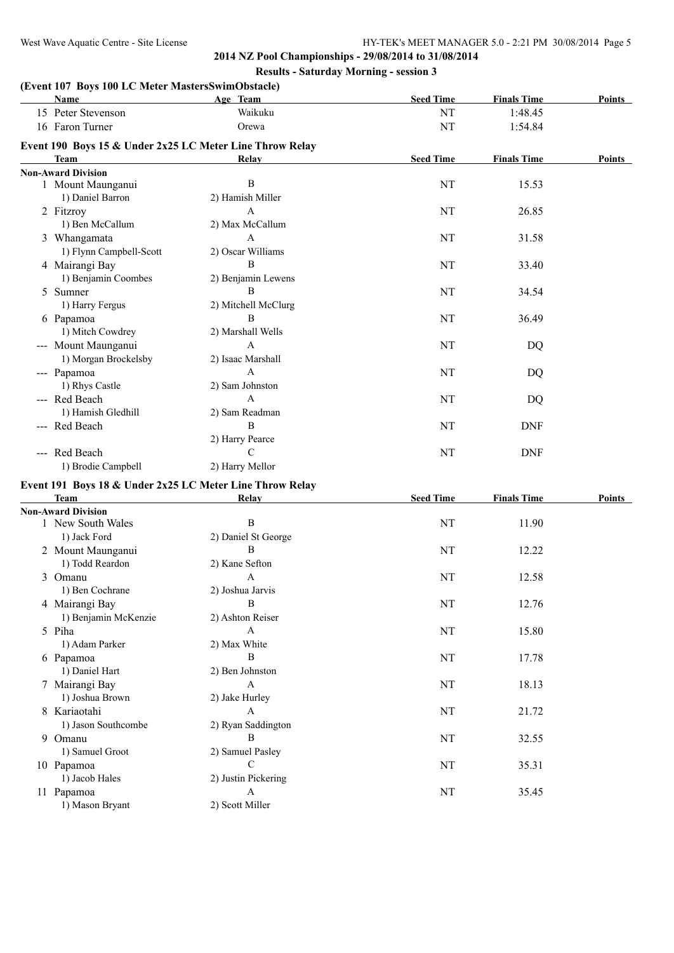| (Event 107 Boys 100 LC Meter MastersSwimObstacle)<br>Name | Age Team                            | <b>Seed Time</b> | <b>Finals Time</b> | Points |
|-----------------------------------------------------------|-------------------------------------|------------------|--------------------|--------|
| 15 Peter Stevenson                                        | Waikuku                             | NT               | 1:48.45            |        |
| 16 Faron Turner                                           | Orewa                               | NT               | 1:54.84            |        |
|                                                           |                                     |                  |                    |        |
| Event 190 Boys 15 & Under 2x25 LC Meter Line Throw Relay  |                                     |                  |                    |        |
| <b>Team</b>                                               | Relay                               | <b>Seed Time</b> | <b>Finals Time</b> | Points |
| <b>Non-Award Division</b>                                 |                                     |                  |                    |        |
| 1 Mount Maunganui                                         | B                                   | NT               | 15.53              |        |
| 1) Daniel Barron                                          | 2) Hamish Miller                    |                  |                    |        |
| 2 Fitzroy                                                 | A                                   | NT               | 26.85              |        |
| 1) Ben McCallum                                           | 2) Max McCallum                     |                  |                    |        |
| 3 Whangamata                                              | A                                   | NT               | 31.58              |        |
| 1) Flynn Campbell-Scott                                   | 2) Oscar Williams                   |                  |                    |        |
| 4 Mairangi Bay                                            | B                                   | NT               | 33.40              |        |
| 1) Benjamin Coombes                                       | 2) Benjamin Lewens                  |                  |                    |        |
| 5 Sumner                                                  | B                                   | NT               | 34.54              |        |
| 1) Harry Fergus                                           | 2) Mitchell McClurg                 |                  |                    |        |
| 6 Papamoa                                                 | B                                   | NT               | 36.49              |        |
| 1) Mitch Cowdrey                                          | 2) Marshall Wells                   |                  |                    |        |
| --- Mount Maunganui                                       | $\mathbf{A}$                        | NT               | DQ                 |        |
| 1) Morgan Brockelsby                                      | 2) Isaac Marshall                   |                  |                    |        |
| --- Papamoa                                               | $\mathsf{A}$                        | NT               | DQ                 |        |
| 1) Rhys Castle                                            | 2) Sam Johnston                     |                  |                    |        |
| --- Red Beach                                             | $\mathsf{A}$                        | NT               | DQ                 |        |
| 1) Hamish Gledhill                                        | 2) Sam Readman                      |                  |                    |        |
| --- Red Beach                                             | B                                   | NT               | <b>DNF</b>         |        |
|                                                           | 2) Harry Pearce                     |                  |                    |        |
| --- Red Beach                                             | $\mathcal{C}$                       | NT               | <b>DNF</b>         |        |
| 1) Brodie Campbell                                        | 2) Harry Mellor                     |                  |                    |        |
|                                                           |                                     |                  |                    |        |
| Event 191 Boys 18 & Under 2x25 LC Meter Line Throw Relay  |                                     |                  |                    |        |
| <b>Team</b>                                               | Relay                               | <b>Seed Time</b> | <b>Finals Time</b> | Points |
| <b>Non-Award Division</b>                                 | $\, {\bf B}$                        | NT               | 11.90              |        |
| 1 New South Wales<br>1) Jack Ford                         | 2) Daniel St George                 |                  |                    |        |
|                                                           | B                                   |                  |                    |        |
| 2 Mount Maunganui                                         |                                     | NT               | 12.22              |        |
| 1) Todd Reardon                                           | 2) Kane Sefton                      |                  |                    |        |
| 3 Omanu                                                   | A                                   | NT               | 12.58              |        |
| 1) Ben Cochrane                                           | 2) Joshua Jarvis                    |                  |                    |        |
| 4 Mairangi Bay                                            | B                                   | NT               | 12.76              |        |
| 1) Benjamin McKenzie                                      | 2) Ashton Reiser                    |                  |                    |        |
| 5 Piha                                                    | $\mathbf{A}$                        | NT               | 15.80              |        |
| 1) Adam Parker                                            | 2) Max White                        |                  |                    |        |
| 6 Papamoa                                                 | $\, {\bf B}$                        | NT               | 17.78              |        |
| 1) Daniel Hart                                            | 2) Ben Johnston                     |                  |                    |        |
| 7 Mairangi Bay                                            | $\mathbf{A}$                        | NT               | 18.13              |        |
| 1) Joshua Brown                                           | 2) Jake Hurley                      |                  |                    |        |
| 8 Kariaotahi                                              | A                                   | NT               | 21.72              |        |
| 1) Jason Southcombe                                       | 2) Ryan Saddington                  |                  |                    |        |
| 9 Omanu                                                   | B                                   | NT               | 32.55              |        |
| 1) Samuel Groot                                           | 2) Samuel Pasley                    |                  |                    |        |
|                                                           |                                     |                  |                    |        |
|                                                           | $\mathcal{C}$                       |                  |                    |        |
| 10 Papamoa                                                |                                     | NT               | 35.31              |        |
| 1) Jacob Hales<br>11 Papamoa                              | 2) Justin Pickering<br>$\mathbf{A}$ | $\rm{NT}$        | 35.45              |        |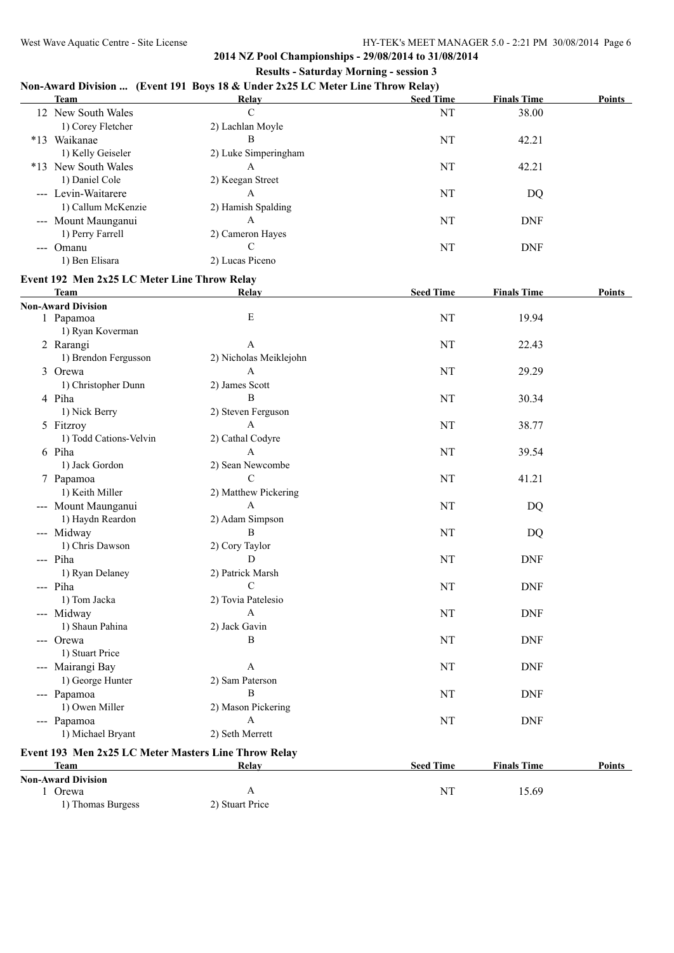# **2014 NZ Pool Championships - 29/08/2014 to 31/08/2014**

# **Results - Saturday Morning - session 3 Non-Award Division ... (Event 191 Boys 18 & Under 2x25 LC Meter Line Throw Relay)**

|       | <b>Team</b>         | $\sim$<br>Relay      | $\cdot$<br><b>Seed Time</b> | <b>Finals Time</b> | <b>Points</b> |
|-------|---------------------|----------------------|-----------------------------|--------------------|---------------|
|       | 12 New South Wales  | C                    | NT                          | 38.00              |               |
|       | 1) Corey Fletcher   | 2) Lachlan Moyle     |                             |                    |               |
| $*13$ | Waikanae            | В                    | NT                          | 42.21              |               |
|       | 1) Kelly Geiseler   | 2) Luke Simperingham |                             |                    |               |
|       | *13 New South Wales | A                    | NT                          | 42.21              |               |
|       | 1) Daniel Cole      | 2) Keegan Street     |                             |                    |               |
|       | --- Levin-Waitarere | A                    | NT                          | DQ                 |               |
|       | 1) Callum McKenzie  | 2) Hamish Spalding   |                             |                    |               |
|       | --- Mount Maunganui | A                    | NT                          | <b>DNF</b>         |               |
|       | 1) Perry Farrell    | 2) Cameron Hayes     |                             |                    |               |
| $---$ | Omanu               |                      | NT                          | <b>DNF</b>         |               |
|       | 1) Ben Elisara      | 2) Lucas Piceno      |                             |                    |               |

# **Event 192 Men 2x25 LC Meter Line Throw Relay**

| <b>Team</b>                                                 | Relay                  | <b>Seed Time</b> | <b>Finals Time</b> | Points        |
|-------------------------------------------------------------|------------------------|------------------|--------------------|---------------|
| <b>Non-Award Division</b>                                   |                        |                  |                    |               |
| 1 Papamoa                                                   | E                      | NT               | 19.94              |               |
| 1) Ryan Koverman                                            |                        |                  |                    |               |
| 2 Rarangi                                                   | A                      | NT               | 22.43              |               |
| 1) Brendon Fergusson                                        | 2) Nicholas Meiklejohn |                  |                    |               |
| 3 Orewa                                                     | $\mathbf{A}$           | NT               | 29.29              |               |
| 1) Christopher Dunn                                         | 2) James Scott         |                  |                    |               |
| 4 Piha                                                      | B                      | NT               | 30.34              |               |
| 1) Nick Berry                                               | 2) Steven Ferguson     |                  |                    |               |
| 5 Fitzroy                                                   | $\mathbf{A}$           | NT               | 38.77              |               |
| 1) Todd Cations-Velvin                                      | 2) Cathal Codyre       |                  |                    |               |
| 6 Piha                                                      | A                      | NT               | 39.54              |               |
| 1) Jack Gordon                                              | 2) Sean Newcombe       |                  |                    |               |
| 7 Papamoa                                                   | C                      | NT               | 41.21              |               |
| 1) Keith Miller                                             | 2) Matthew Pickering   |                  |                    |               |
| --- Mount Maunganui                                         | $\mathbf{A}$           | NT               | <b>DQ</b>          |               |
| 1) Haydn Reardon                                            | 2) Adam Simpson        |                  |                    |               |
| --- Midway                                                  | $\, {\bf B}$           | NT               | DQ                 |               |
| 1) Chris Dawson                                             | 2) Cory Taylor         |                  |                    |               |
| --- Piha                                                    | D                      | <b>NT</b>        | <b>DNF</b>         |               |
| 1) Ryan Delaney                                             | 2) Patrick Marsh       |                  |                    |               |
| --- Piha                                                    | $\mathbf C$            | <b>NT</b>        | <b>DNF</b>         |               |
| 1) Tom Jacka                                                | 2) Tovia Patelesio     |                  |                    |               |
| --- Midway                                                  | $\mathbf{A}$           | <b>NT</b>        | <b>DNF</b>         |               |
| 1) Shaun Pahina                                             | 2) Jack Gavin          |                  |                    |               |
| --- Orewa                                                   | B                      | <b>NT</b>        | <b>DNF</b>         |               |
| 1) Stuart Price                                             |                        |                  |                    |               |
| --- Mairangi Bay                                            | A                      | NT               | <b>DNF</b>         |               |
| 1) George Hunter                                            | 2) Sam Paterson        |                  |                    |               |
| --- Papamoa                                                 | $\overline{B}$         | NT               | <b>DNF</b>         |               |
| 1) Owen Miller                                              | 2) Mason Pickering     |                  |                    |               |
| --- Papamoa                                                 | $\mathbf{A}$           | <b>NT</b>        | <b>DNF</b>         |               |
| 1) Michael Bryant                                           | 2) Seth Merrett        |                  |                    |               |
|                                                             |                        |                  |                    |               |
| Event 193 Men 2x25 LC Meter Masters Line Throw Relay        |                        |                  |                    |               |
| <b>Team</b><br>the control of the control of the control of | Relay                  | <b>Seed Time</b> | <b>Finals Time</b> | <b>Points</b> |

|                           | $\cdots$                    | $\sim$ | 1 111419 1 1111 <b>v</b> | . |
|---------------------------|-----------------------------|--------|--------------------------|---|
| <b>Non-Award Division</b> |                             |        |                          |   |
| Orewa                     | A                           | NT     | 15.69                    |   |
| 1) Thomas Burgess         | <sup>2</sup> ) Stuart Price |        |                          |   |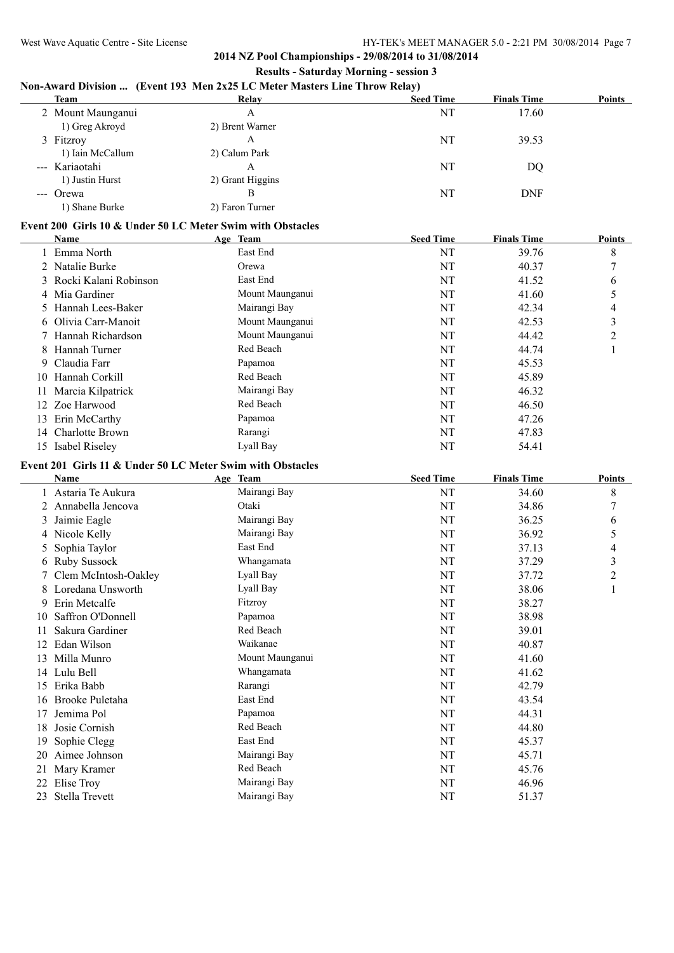## **Non-Award Division ... (Event 193 Men 2x25 LC Meter Masters Line Throw Relay)**

| <b>Team</b>       | Relay            | <b>Seed Time</b> | <b>Finals Time</b> | <b>Points</b> |
|-------------------|------------------|------------------|--------------------|---------------|
| 2 Mount Maunganui | А                | NT               | 17.60              |               |
| 1) Greg Akroyd    | 2) Brent Warner  |                  |                    |               |
| 3 Fitzroy         | A                | NT               | 39.53              |               |
| 1) Iain McCallum  | 2) Calum Park    |                  |                    |               |
| --- Kariaotahi    | A                | NT               | DQ                 |               |
| 1) Justin Hurst   | 2) Grant Higgins |                  |                    |               |
| --- Orewa         | В                | NT               | <b>DNF</b>         |               |
| 1) Shane Burke    | 2) Faron Turner  |                  |                    |               |

#### **Event 200 Girls 10 & Under 50 LC Meter Swim with Obstacles**

|    | Name                    | Age Team        | <b>Seed Time</b> | <b>Finals Time</b> | <b>Points</b> |
|----|-------------------------|-----------------|------------------|--------------------|---------------|
|    | 1 Emma North            | East End        | NT               | 39.76              | 8             |
|    | 2 Natalie Burke         | Orewa           | NT               | 40.37              | $\mathcal{L}$ |
|    | 3 Rocki Kalani Robinson | East End        | NT               | 41.52              | 6             |
|    | 4 Mia Gardiner          | Mount Maunganui | NT               | 41.60              |               |
|    | 5 Hannah Lees-Baker     | Mairangi Bay    | NT               | 42.34              | 4             |
|    | 6 Olivia Carr-Manoit    | Mount Maunganui | NT               | 42.53              | 3             |
|    | 7 Hannah Richardson     | Mount Maunganui | NT               | 44.42              | 2             |
| 8  | Hannah Turner           | Red Beach       | NT               | 44.74              |               |
|    | 9 Claudia Farr          | Papamoa         | NT               | 45.53              |               |
| 10 | Hannah Corkill          | Red Beach       | NT               | 45.89              |               |
| 11 | Marcia Kilpatrick       | Mairangi Bay    | NT               | 46.32              |               |
|    | 12 Zoe Harwood          | Red Beach       | NT               | 46.50              |               |
| 13 | Erin McCarthy           | Papamoa         | NT               | 47.26              |               |
| 14 | Charlotte Brown         | Rarangi         | NT               | 47.83              |               |
|    | 15 Isabel Riseley       | Lyall Bay       | NT               | 54.41              |               |

#### **Event 201 Girls 11 & Under 50 LC Meter Swim with Obstacles**

|    | Name                 | Age Team        | <b>Seed Time</b> | <b>Finals Time</b> | <b>Points</b> |
|----|----------------------|-----------------|------------------|--------------------|---------------|
|    | Astaria Te Aukura    | Mairangi Bay    | NT               | 34.60              | 8             |
|    | 2 Annabella Jencova  | Otaki           | NT               | 34.86              | 7             |
| 3  | Jaimie Eagle         | Mairangi Bay    | NT               | 36.25              | 6             |
|    | 4 Nicole Kelly       | Mairangi Bay    | NT               | 36.92              | 5             |
|    | 5 Sophia Taylor      | East End        | NT               | 37.13              | 4             |
|    | 6 Ruby Sussock       | Whangamata      | NT               | 37.29              | 3             |
|    | Clem McIntosh-Oakley | Lyall Bay       | NT               | 37.72              | 2             |
|    | 8 Loredana Unsworth  | Lyall Bay       | NT               | 38.06              |               |
| 9  | Erin Metcalfe        | Fitzroy         | NT               | 38.27              |               |
| 10 | Saffron O'Donnell    | Papamoa         | NT               | 38.98              |               |
| 11 | Sakura Gardiner      | Red Beach       | NT               | 39.01              |               |
| 12 | Edan Wilson          | Waikanae        | NT               | 40.87              |               |
| 13 | Milla Munro          | Mount Maunganui | NT               | 41.60              |               |
| 14 | Lulu Bell            | Whangamata      | NT               | 41.62              |               |
| 15 | Erika Babb           | Rarangi         | NT               | 42.79              |               |
| 16 | Brooke Puletaha      | East End        | NT               | 43.54              |               |
| 17 | Jemima Pol           | Papamoa         | NT               | 44.31              |               |
| 18 | Josie Cornish        | Red Beach       | NT               | 44.80              |               |
| 19 | Sophie Clegg         | East End        | NT               | 45.37              |               |
| 20 | Aimee Johnson        | Mairangi Bay    | NT               | 45.71              |               |
| 21 | Mary Kramer          | Red Beach       | NT               | 45.76              |               |
| 22 | Elise Troy           | Mairangi Bay    | NT               | 46.96              |               |
| 23 | Stella Trevett       | Mairangi Bay    | NT               | 51.37              |               |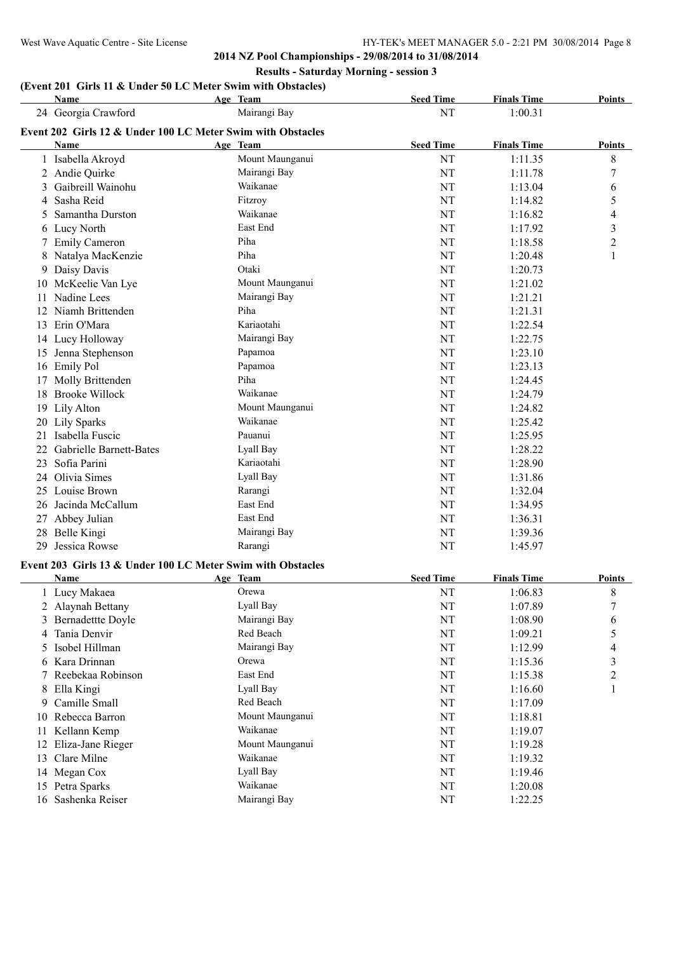#### West Wave Aquatic Centre - Site License HY-TEK's MEET MANAGER 5.0 - 2:21 PM 30/08/2014 Page 8

**2014 NZ Pool Championships - 29/08/2014 to 31/08/2014 Results - Saturday Morning - session 3**

# **(Event 201 Girls 11 & Under 50 LC Meter Swim with Obstacles)**

|     | Name                                                        | Age Team        | <b>Seed Time</b> | <b>Finals Time</b> | <b>Points</b>           |
|-----|-------------------------------------------------------------|-----------------|------------------|--------------------|-------------------------|
|     | 24 Georgia Crawford                                         | Mairangi Bay    | NT               | 1:00.31            |                         |
|     | Event 202 Girls 12 & Under 100 LC Meter Swim with Obstacles |                 |                  |                    |                         |
|     | Name                                                        | Age Team        | <b>Seed Time</b> | <b>Finals Time</b> | <b>Points</b>           |
|     | 1 Isabella Akroyd                                           | Mount Maunganui | NT               | 1:11.35            | $\,$ 8 $\,$             |
|     | 2 Andie Quirke                                              | Mairangi Bay    | NT               | 1:11.78            | $\sqrt{ }$              |
| 3   | Gaibreill Wainohu                                           | Waikanae        | NT               | 1:13.04            | 6                       |
|     | 4 Sasha Reid                                                | Fitzrov         | NT               | 1:14.82            | 5                       |
| 5.  | Samantha Durston                                            | Waikanae        | NT               | 1:16.82            | 4                       |
|     | 6 Lucy North                                                | East End        | NT               | 1:17.92            | $\overline{\mathbf{3}}$ |
|     | 7 Emily Cameron                                             | Piha            | NT               | 1:18.58            | $\overline{2}$          |
|     | 8 Natalya MacKenzie                                         | Piha            | NT               | 1:20.48            | 1                       |
|     | 9 Daisy Davis                                               | Otaki           | NT               | 1:20.73            |                         |
|     | 10 McKeelie Van Lye                                         | Mount Maunganui | NT               | 1:21.02            |                         |
|     | 11 Nadine Lees                                              | Mairangi Bay    | NT               | 1:21.21            |                         |
|     | 12 Niamh Brittenden                                         | Piha            | NT               | 1:21.31            |                         |
|     | 13 Erin O'Mara                                              | Kariaotahi      | NT               | 1:22.54            |                         |
|     | 14 Lucy Holloway                                            | Mairangi Bay    | NT               | 1:22.75            |                         |
|     | 15 Jenna Stephenson                                         | Papamoa         | NT               | 1:23.10            |                         |
|     | 16 Emily Pol                                                | Papamoa         | NT               | 1:23.13            |                         |
|     | 17 Molly Brittenden                                         | Piha            | NT               | 1:24.45            |                         |
|     | 18 Brooke Willock                                           | Waikanae        | NT               | 1:24.79            |                         |
|     | 19 Lily Alton                                               | Mount Maunganui | NT               | 1:24.82            |                         |
| 20  | Lily Sparks                                                 | Waikanae        | NT               | 1:25.42            |                         |
| 21. | Isabella Fuscic                                             | Pauanui         | NT               | 1:25.95            |                         |
|     | 22 Gabrielle Barnett-Bates                                  | Lyall Bay       | NT               | 1:28.22            |                         |
|     | 23 Sofia Parini                                             | Kariaotahi      | NT               | 1:28.90            |                         |
|     | 24 Olivia Simes                                             | Lyall Bay       | NT               | 1:31.86            |                         |
|     | 25 Louise Brown                                             | Rarangi         | NT               | 1:32.04            |                         |
|     | 26 Jacinda McCallum                                         | East End        | NT               | 1:34.95            |                         |
|     | 27 Abbey Julian                                             | East End        | NT               | 1:36.31            |                         |
|     | 28 Belle Kingi                                              | Mairangi Bay    | NT               | 1:39.36            |                         |
| 29  | Jessica Rowse                                               | Rarangi         | NT               | 1:45.97            |                         |
|     | Event 203 Girls 13 & Under 100 LC Meter Swim with Obstacles |                 |                  |                    |                         |
|     | Name                                                        | Age Team        | <b>Seed Time</b> | <b>Finals Time</b> | <b>Points</b>           |
|     | 1 Lucy Makaea                                               | Orewa           | NT               | 1:06.83            | $\,$ 8 $\,$             |
|     | 2 Alaynah Bettany                                           | Lyall Bay       | NT               | 1:07.89            | $\overline{7}$          |
|     | 3 Remadettte Dovle                                          | Mairangi Ray    | NT               | 1.0890             | 6                       |

|    | 2 Alaynan Bettany    | Lyall Day       | IN 1 | 1.07.09 |   |
|----|----------------------|-----------------|------|---------|---|
|    | 3 Bernadettte Doyle  | Mairangi Bay    | NT   | 1:08.90 | 6 |
|    | 4 Tania Denvir       | Red Beach       | NT   | 1:09.21 |   |
|    | 5 Isobel Hillman     | Mairangi Bay    | NT   | 1:12.99 | 4 |
|    | 6 Kara Drinnan       | Orewa           | NT   | 1:15.36 | 3 |
|    | 7 Reebekaa Robinson  | East End        | NT   | 1:15.38 | 2 |
|    | 8 Ella Kingi         | Lyall Bay       | NT   | 1:16.60 |   |
|    | 9 Camille Small      | Red Beach       | NT   | 1:17.09 |   |
|    | 10 Rebecca Barron    | Mount Maunganui | NT   | 1:18.81 |   |
|    | 11 Kellann Kemp      | Waikanae        | NT   | 1:19.07 |   |
|    | 12 Eliza-Jane Rieger | Mount Maunganui | NT   | 1:19.28 |   |
|    | 13 Clare Milne       | Waikanae        | NT   | 1:19.32 |   |
|    | 14 Megan Cox         | Lyall Bay       | NT   | 1:19.46 |   |
| 15 | Petra Sparks         | Waikanae        | NT   | 1:20.08 |   |
|    | 16 Sashenka Reiser   | Mairangi Bay    | NT   | 1:22.25 |   |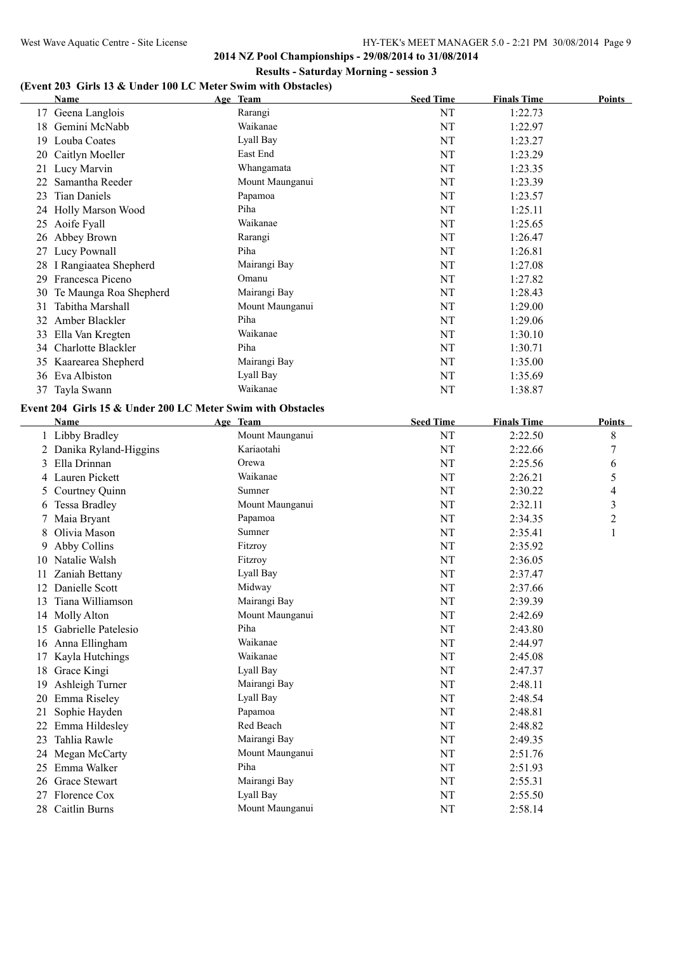#### West Wave Aquatic Centre - Site License HY-TEK's MEET MANAGER 5.0 - 2:21 PM 30/08/2014 Page 9

**2014 NZ Pool Championships - 29/08/2014 to 31/08/2014 Results - Saturday Morning - session 3**

# **(Event 203 Girls 13 & Under 100 LC Meter Swim with Obstacles)**

|     | Name                     | Age Team        | <b>Seed Time</b> | <b>Finals Time</b> | Points |
|-----|--------------------------|-----------------|------------------|--------------------|--------|
|     | 17 Geena Langlois        | Rarangi         | NT               | 1:22.73            |        |
| 18  | Gemini McNabb            | Waikanae        | NT               | 1:22.97            |        |
| 19  | Louba Coates             | Lyall Bay       | NT               | 1:23.27            |        |
| 20  | Caitlyn Moeller          | East End        | NT               | 1:23.29            |        |
| 21  | Lucy Marvin              | Whangamata      | NT               | 1:23.35            |        |
| 22  | Samantha Reeder          | Mount Maunganui | NT               | 1:23.39            |        |
| 23  | Tian Daniels             | Papamoa         | NT               | 1:23.57            |        |
| 24  | <b>Holly Marson Wood</b> | Piha            | NT               | 1:25.11            |        |
| 25  | Aoife Fyall              | Waikanae        | NT               | 1:25.65            |        |
| 26  | Abbey Brown              | Rarangi         | NT               | 1:26.47            |        |
| 27  | Lucy Pownall             | Piha            | NT               | 1:26.81            |        |
| 28  | I Rangiaatea Shepherd    | Mairangi Bay    | NT               | 1:27.08            |        |
| 29  | Francesca Piceno         | Omanu           | NT               | 1:27.82            |        |
| 30  | Te Maunga Roa Shepherd   | Mairangi Bay    | NT               | 1:28.43            |        |
| 31  | Tabitha Marshall         | Mount Maunganui | NT               | 1:29.00            |        |
| 32. | Amber Blackler           | Piha            | NT               | 1:29.06            |        |
| 33  | Ella Van Kregten         | Waikanae        | NT               | 1:30.10            |        |
| 34  | Charlotte Blackler       | Piha            | NT               | 1:30.71            |        |
| 35  | Kaarearea Shepherd       | Mairangi Bay    | NT               | 1:35.00            |        |
| 36  | Eva Albiston             | Lyall Bay       | NT               | 1:35.69            |        |
| 37  | Tayla Swann              | Waikanae        | NT               | 1:38.87            |        |

### **Event 204 Girls 15 & Under 200 LC Meter Swim with Obstacles**

|    | <b>Name</b>             | Age Team        | <b>Seed Time</b> | <b>Finals Time</b> | <b>Points</b>           |
|----|-------------------------|-----------------|------------------|--------------------|-------------------------|
|    | 1 Libby Bradley         | Mount Maunganui | NT               | 2:22.50            | 8                       |
|    | 2 Danika Ryland-Higgins | Kariaotahi      | NT               | 2:22.66            | 7                       |
| 3  | Ella Drinnan            | Orewa           | NT               | 2:25.56            | 6                       |
|    | 4 Lauren Pickett        | Waikanae        | NT               | 2:26.21            | 5                       |
| 5  | Courtney Quinn          | Sumner          | NT               | 2:30.22            | 4                       |
| 6  | <b>Tessa Bradley</b>    | Mount Maunganui | NT               | 2:32.11            | 3                       |
|    | Maia Bryant             | Papamoa         | NT               | 2:34.35            | $\overline{\mathbf{c}}$ |
| 8  | Olivia Mason            | Sumner          | NT               | 2:35.41            | 1                       |
| 9  | Abby Collins            | Fitzroy         | NT               | 2:35.92            |                         |
| 10 | Natalie Walsh           | Fitzroy         | NT               | 2:36.05            |                         |
| 11 | Zaniah Bettany          | Lyall Bay       | NT               | 2:37.47            |                         |
| 12 | Danielle Scott          | Midway          | NT               | 2:37.66            |                         |
| 13 | Tiana Williamson        | Mairangi Bay    | NT               | 2:39.39            |                         |
| 14 | <b>Molly Alton</b>      | Mount Maunganui | NT               | 2:42.69            |                         |
| 15 | Gabrielle Patelesio     | Piha            | NT               | 2:43.80            |                         |
|    | 16 Anna Ellingham       | Waikanae        | NT               | 2:44.97            |                         |
| 17 | Kayla Hutchings         | Waikanae        | NT               | 2:45.08            |                         |
| 18 | Grace Kingi             | Lyall Bay       | NT               | 2:47.37            |                         |
| 19 | Ashleigh Turner         | Mairangi Bay    | NT               | 2:48.11            |                         |
| 20 | Emma Riseley            | Lyall Bay       | NT               | 2:48.54            |                         |
| 21 | Sophie Hayden           | Papamoa         | NT               | 2:48.81            |                         |
| 22 | Emma Hildesley          | Red Beach       | NT               | 2:48.82            |                         |
| 23 | Tahlia Rawle            | Mairangi Bay    | <b>NT</b>        | 2:49.35            |                         |
| 24 | Megan McCarty           | Mount Maunganui | NT               | 2:51.76            |                         |
| 25 | Emma Walker             | Piha            | NT               | 2:51.93            |                         |
| 26 | Grace Stewart           | Mairangi Bay    | NT               | 2:55.31            |                         |
| 27 | Florence Cox            | Lyall Bay       | NT               | 2:55.50            |                         |
|    | 28 Caitlin Burns        | Mount Maunganui | NT               | 2:58.14            |                         |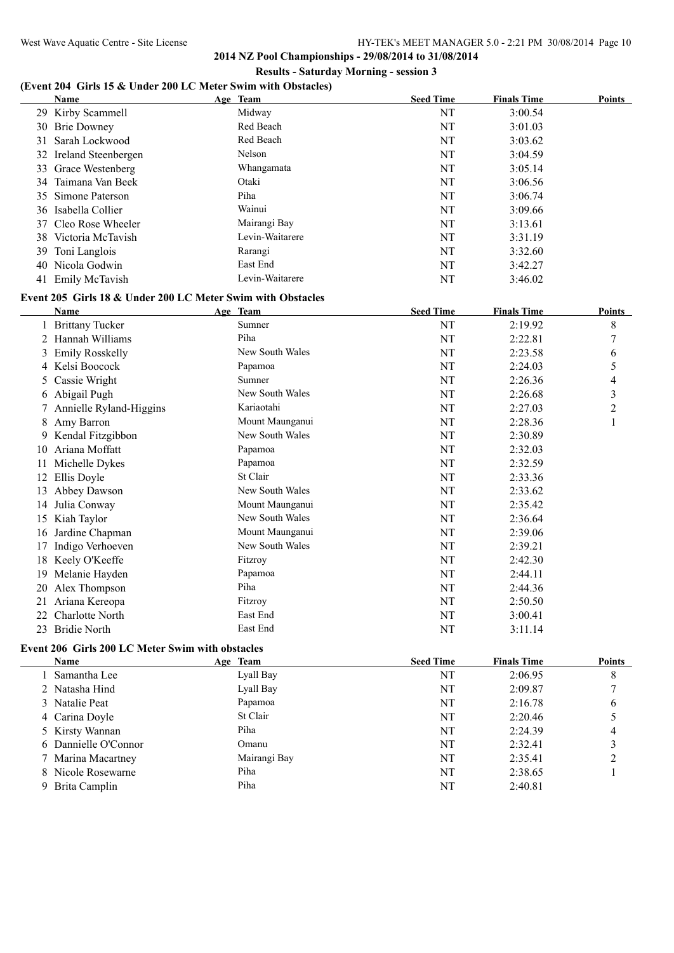### **(Event 204 Girls 15 & Under 200 LC Meter Swim with Obstacles)**

| Name                   | Age Team        | <b>Seed Time</b> | <b>Finals Time</b> | <b>Points</b> |
|------------------------|-----------------|------------------|--------------------|---------------|
| 29 Kirby Scammell      | Midway          | NT               | 3:00.54            |               |
| 30 Brie Downey         | Red Beach       | NT               | 3:01.03            |               |
| 31 Sarah Lockwood      | Red Beach       | NT               | 3:03.62            |               |
| 32 Ireland Steenbergen | Nelson          | NT               | 3:04.59            |               |
| 33 Grace Westenberg    | Whangamata      | NT               | 3:05.14            |               |
| 34 Taimana Van Beek    | Otaki           | NT               | 3:06.56            |               |
| 35 Simone Paterson     | Piha            | NT               | 3:06.74            |               |
| 36 Isabella Collier    | Wainui          | NT               | 3:09.66            |               |
| 37 Cleo Rose Wheeler   | Mairangi Bay    | NT               | 3:13.61            |               |
| 38 Victoria McTavish   | Levin-Waitarere | NT               | 3:31.19            |               |
| 39 Toni Langlois       | Rarangi         | NT               | 3:32.60            |               |
| 40 Nicola Godwin       | East End        | NT               | 3:42.27            |               |
| 41 Emily McTavish      | Levin-Waitarere | NT               | 3:46.02            |               |

### **Event 205 Girls 18 & Under 200 LC Meter Swim with Obstacles**

|               | Name                    | Age Team        | <b>Seed Time</b> | <b>Finals Time</b> | <b>Points</b>  |
|---------------|-------------------------|-----------------|------------------|--------------------|----------------|
|               | <b>Brittany Tucker</b>  | Sumner          | NT               | 2:19.92            | 8              |
|               | Hannah Williams         | Piha            | NT               | 2:22.81            | 7              |
| 3             | <b>Emily Rosskelly</b>  | New South Wales | NT               | 2:23.58            | 6              |
| 4             | Kelsi Boocock           | Papamoa         | NT               | 2:24.03            | 5              |
| $\mathcal{L}$ | Cassie Wright           | Sumner          | NT               | 2:26.36            | 4              |
| 6             | Abigail Pugh            | New South Wales | NT               | 2:26.68            | 3              |
|               | Annielle Ryland-Higgins | Kariaotahi      | NT               | 2:27.03            | $\overline{c}$ |
| 8             | Amy Barron              | Mount Maunganui | NT               | 2:28.36            |                |
| 9.            | Kendal Fitzgibbon       | New South Wales | NT               | 2:30.89            |                |
| 10            | Ariana Moffatt          | Papamoa         | NT               | 2:32.03            |                |
| 11            | Michelle Dykes          | Papamoa         | NT               | 2:32.59            |                |
| 12            | Ellis Doyle             | St Clair        | NT               | 2:33.36            |                |
| 13            | Abbey Dawson            | New South Wales | NT               | 2:33.62            |                |
| 14            | Julia Conway            | Mount Maunganui | NT               | 2:35.42            |                |
| 15            | Kiah Taylor             | New South Wales | NT               | 2:36.64            |                |
| 16            | Jardine Chapman         | Mount Maunganui | NT               | 2:39.06            |                |
| 17            | Indigo Verhoeven        | New South Wales | NT               | 2:39.21            |                |
| 18            | Keely O'Keeffe          | Fitzroy         | NT               | 2:42.30            |                |
| 19            | Melanie Hayden          | Papamoa         | NT               | 2:44.11            |                |
| 20            | Alex Thompson           | Piha            | NT               | 2:44.36            |                |
| 21            | Ariana Kereopa          | Fitzroy         | NT               | 2:50.50            |                |
| 22            | Charlotte North         | East End        | NT               | 3:00.41            |                |
| 23            | <b>Bridie North</b>     | East End        | NT               | 3:11.14            |                |

## **Event 206 Girls 200 LC Meter Swim with obstacles**

| <b>Name</b>          | Age Team     | <b>Seed Time</b> | <b>Finals Time</b> | <b>Points</b> |
|----------------------|--------------|------------------|--------------------|---------------|
| 1 Samantha Lee       | Lyall Bay    | NT               | 2:06.95            | 8             |
| 2 Natasha Hind       | Lyall Bay    | NT               | 2:09.87            |               |
| 3 Natalie Peat       | Papamoa      | NT               | 2:16.78            | 6             |
| 4 Carina Doyle       | St Clair     | NT               | 2:20.46            |               |
| 5 Kirsty Wannan      | Piha         | NT               | 2:24.39            | 4             |
| 6 Dannielle O'Connor | Omanu        | NT               | 2:32.41            |               |
| 7 Marina Macartney   | Mairangi Bay | NT               | 2:35.41            |               |
| 8 Nicole Rosewarne   | Piha         | NT               | 2:38.65            |               |
| 9 Brita Camplin      | Piha         | NT               | 2:40.81            |               |
|                      |              |                  |                    |               |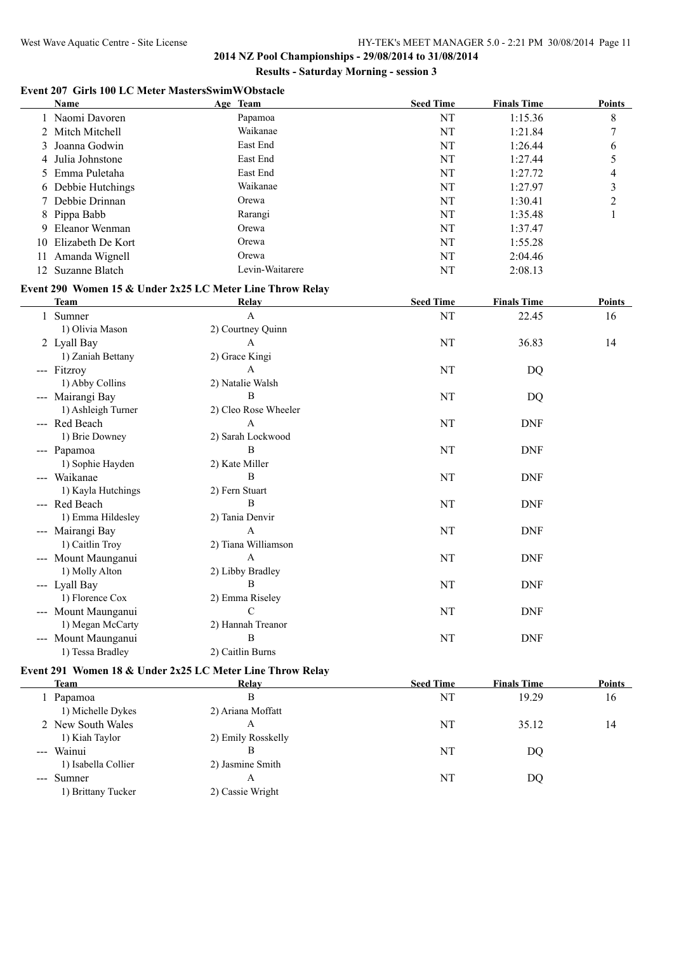#### West Wave Aquatic Centre - Site License HY-TEK's MEET MANAGER 5.0 - 2:21 PM 30/08/2014 Page 11

**2014 NZ Pool Championships - 29/08/2014 to 31/08/2014 Results - Saturday Morning - session 3**

### **Event 207 Girls 100 LC Meter MastersSwimWObstacle**

|    | <b>Name</b>          | Age Team |                 | <b>Seed Time</b> | <b>Finals Time</b> | <b>Points</b> |
|----|----------------------|----------|-----------------|------------------|--------------------|---------------|
|    | 1 Naomi Davoren      |          | Papamoa         | NT               | 1:15.36            | 8             |
|    | 2 Mitch Mitchell     |          | Waikanae        | NT               | 1:21.84            |               |
|    | 3 Joanna Godwin      |          | East End        | NT               | 1:26.44            | 6             |
|    | 4 Julia Johnstone    |          | East End        | NT               | 1:27.44            |               |
|    | 5 Emma Puletaha      |          | East End        | NT               | 1:27.72            | 4             |
|    | 6 Debbie Hutchings   |          | Waikanae        | NT               | 1:27.97            | 3             |
|    | 7 Debbie Drinnan     |          | Orewa           | NT               | 1:30.41            | ∍             |
|    | 8 Pippa Babb         |          | Rarangi         | NT               | 1:35.48            |               |
|    | 9 Eleanor Wenman     |          | Orewa           | NT               | 1:37.47            |               |
|    | 10 Elizabeth De Kort |          | Orewa           | NT               | 1:55.28            |               |
| 11 | Amanda Wignell       |          | Orewa           | NT               | 2:04.46            |               |
|    | 12 Suzanne Blatch    |          | Levin-Waitarere | NT               | 2:08.13            |               |

### **Event 290 Women 15 & Under 2x25 LC Meter Line Throw Relay**

| <b>Team</b>            | Relay                | <b>Seed Time</b> | <b>Finals Time</b> | Points |
|------------------------|----------------------|------------------|--------------------|--------|
| Sumner                 | $\mathsf{A}$         | NT               | 22.45              | 16     |
| 1) Olivia Mason        | 2) Courtney Quinn    |                  |                    |        |
| 2 Lyall Bay            | A                    | NT               | 36.83              | 14     |
| 1) Zaniah Bettany      | 2) Grace Kingi       |                  |                    |        |
| --- Fitzroy            | A                    | NT               | DQ                 |        |
| 1) Abby Collins        | 2) Natalie Walsh     |                  |                    |        |
| --- Mairangi Bay       | B                    | NT               | DQ                 |        |
| 1) Ashleigh Turner     | 2) Cleo Rose Wheeler |                  |                    |        |
| --- Red Beach          | A                    | NT               | <b>DNF</b>         |        |
| 1) Brie Downey         | 2) Sarah Lockwood    |                  |                    |        |
| --- Papamoa            | B                    | NT               | <b>DNF</b>         |        |
| 1) Sophie Hayden       | 2) Kate Miller       |                  |                    |        |
| --- Waikanae           | B                    | NT               | <b>DNF</b>         |        |
| 1) Kayla Hutchings     | 2) Fern Stuart       |                  |                    |        |
| --- Red Beach          | B                    | NT               | <b>DNF</b>         |        |
| 1) Emma Hildesley      | 2) Tania Denvir      |                  |                    |        |
| --- Mairangi Bay       | $\mathsf{A}$         | NT               | <b>DNF</b>         |        |
| 1) Caitlin Troy        | 2) Tiana Williamson  |                  |                    |        |
| --- Mount Maunganui    | A                    | NT               | <b>DNF</b>         |        |
| 1) Molly Alton         | 2) Libby Bradley     |                  |                    |        |
| --- Lyall Bay          | B                    | NT               | <b>DNF</b>         |        |
| 1) Florence Cox        | 2) Emma Riseley      |                  |                    |        |
| --- Mount Maunganui    | C                    | NT               | <b>DNF</b>         |        |
| 1) Megan McCarty       | 2) Hannah Treanor    |                  |                    |        |
| Mount Maunganui<br>--- | B                    | NT               | <b>DNF</b>         |        |
| 1) Tessa Bradley       | 2) Caitlin Burns     |                  |                    |        |

### **Event 291 Women 18 & Under 2x25 LC Meter Line Throw Relay**

| <b>Team</b>         | Relay              | <b>Seed Time</b> | <b>Finals Time</b> | <b>Points</b> |
|---------------------|--------------------|------------------|--------------------|---------------|
| 1 Papamoa           | В                  | NT               | 19.29              | 16            |
| 1) Michelle Dykes   | 2) Ariana Moffatt  |                  |                    |               |
| 2 New South Wales   | А                  | NT               | 35.12              | 14            |
| 1) Kiah Taylor      | 2) Emily Rosskelly |                  |                    |               |
| --- Wainui          | В                  | NT               | DO                 |               |
| 1) Isabella Collier | 2) Jasmine Smith   |                  |                    |               |
| --- Sumner          | А                  | NT               | DO                 |               |
| 1) Brittany Tucker  | 2) Cassie Wright   |                  |                    |               |
|                     |                    |                  |                    |               |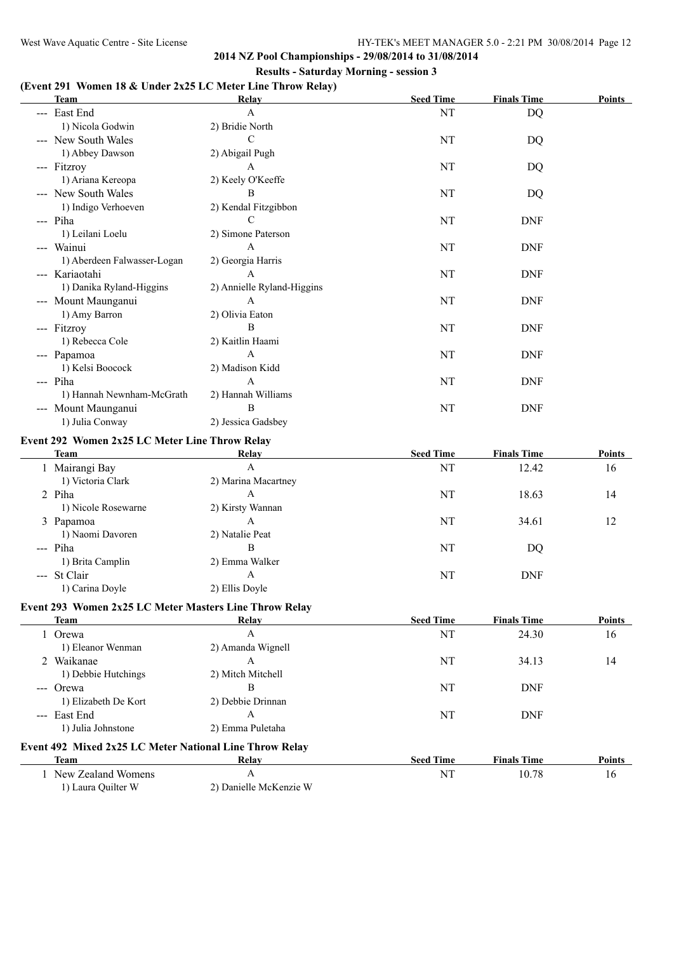### **(Event 291 Women 18 & Under 2x25 LC Meter Line Throw Relay)**

| <b>Team</b>                                             | Relay                      | <b>Seed Time</b> | <b>Finals Time</b> | <b>Points</b> |
|---------------------------------------------------------|----------------------------|------------------|--------------------|---------------|
| --- East End                                            | $\mathbf{A}$               | NT               | <b>DQ</b>          |               |
| 1) Nicola Godwin                                        | 2) Bridie North            |                  |                    |               |
| --- New South Wales                                     | $\mathcal{C}$              | NT               | DQ                 |               |
| 1) Abbey Dawson                                         | 2) Abigail Pugh            |                  |                    |               |
| --- Fitzroy                                             | $\mathsf{A}$               | NT               | DQ                 |               |
| 1) Ariana Kereopa                                       | 2) Keely O'Keeffe          |                  |                    |               |
| --- New South Wales                                     | B                          | NT               | DQ                 |               |
| 1) Indigo Verhoeven                                     | 2) Kendal Fitzgibbon       |                  |                    |               |
| --- Piha                                                | C                          | NT               | <b>DNF</b>         |               |
| 1) Leilani Loelu                                        | 2) Simone Paterson         |                  |                    |               |
| --- Wainui                                              | A                          | NT               | <b>DNF</b>         |               |
| 1) Aberdeen Falwasser-Logan                             | 2) Georgia Harris          |                  |                    |               |
| --- Kariaotahi                                          | A                          | NT               | <b>DNF</b>         |               |
| 1) Danika Ryland-Higgins                                | 2) Annielle Ryland-Higgins |                  |                    |               |
| --- Mount Maunganui                                     | A                          | NT               | <b>DNF</b>         |               |
| 1) Amy Barron                                           | 2) Olivia Eaton            |                  |                    |               |
| --- Fitzroy                                             | B                          | NT               | <b>DNF</b>         |               |
| 1) Rebecca Cole                                         | 2) Kaitlin Haami           |                  |                    |               |
| --- Papamoa                                             | $\mathbf{A}$               | NT               | <b>DNF</b>         |               |
| 1) Kelsi Boocock                                        | 2) Madison Kidd            |                  |                    |               |
| --- Piha                                                | $\mathbf{A}$               | NT               | <b>DNF</b>         |               |
| 1) Hannah Newnham-McGrath                               | 2) Hannah Williams         |                  |                    |               |
| --- Mount Maunganui                                     | B                          | NT               | <b>DNF</b>         |               |
| 1) Julia Conway                                         | 2) Jessica Gadsbey         |                  |                    |               |
|                                                         |                            |                  |                    |               |
| Event 292 Women 2x25 LC Meter Line Throw Relay          |                            |                  |                    |               |
| <b>Team</b>                                             | <b>Relay</b>               | <b>Seed Time</b> | <b>Finals Time</b> | Points        |
| 1 Mairangi Bay                                          | $\mathbf{A}$               | NT               | 12.42              | 16            |
| 1) Victoria Clark                                       | 2) Marina Macartney        |                  |                    |               |
| 2 Piha                                                  | A                          | NT               | 18.63              | 14            |
| 1) Nicole Rosewarne                                     | 2) Kirsty Wannan           |                  |                    |               |
| 3 Papamoa                                               | A                          | NT               | 34.61              | 12            |
| 1) Naomi Davoren                                        | 2) Natalie Peat            |                  |                    |               |
| --- Piha                                                | B                          | NT               | DQ                 |               |
| 1) Brita Camplin                                        | 2) Emma Walker             |                  |                    |               |
| --- St Clair                                            | A                          | NT               | <b>DNF</b>         |               |
| 1) Carina Doyle                                         | 2) Ellis Doyle             |                  |                    |               |
| Event 293 Women 2x25 LC Meter Masters Line Throw Relay  |                            |                  |                    |               |
| <b>Team</b>                                             | Relay                      | <b>Seed Time</b> | <b>Finals Time</b> | <b>Points</b> |
| 1 Orewa                                                 | $\boldsymbol{\rm{A}}$      | NT               | 24.30              | 16            |
| 1) Eleanor Wenman                                       | 2) Amanda Wignell          |                  |                    |               |
| 2 Waikanae                                              | A                          | NT               | 34.13              | 14            |
| 1) Debbie Hutchings                                     | 2) Mitch Mitchell          |                  |                    |               |
| --- Orewa                                               | B                          | NT               | <b>DNF</b>         |               |
| 1) Elizabeth De Kort                                    | 2) Debbie Drinnan          |                  |                    |               |
| --- East End                                            | A                          | NT               | <b>DNF</b>         |               |
| 1) Julia Johnstone                                      | 2) Emma Puletaha           |                  |                    |               |
|                                                         |                            |                  |                    |               |
| Event 492 Mixed 2x25 LC Meter National Line Throw Relay |                            |                  |                    |               |
| Team                                                    | Relay                      | <b>Seed Time</b> | <b>Finals Time</b> | Points        |
| 1 New Zealand Womens                                    | A                          | NT               | 10.78              | 16            |
| 1) Laura Quilter W                                      | 2) Danielle McKenzie W     |                  |                    |               |